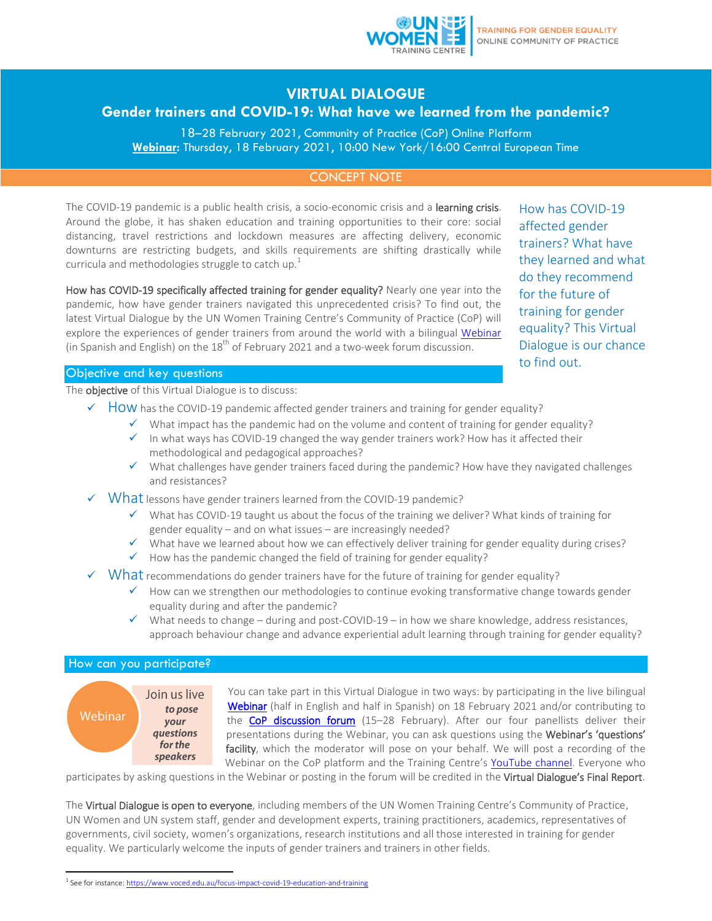

## **VIRTUAL DIALOGUE**

# **Gender trainers and COVID-19: What have we learned from the pandemic?**

18–28 February 2021, Community of Practice (CoP) Online Platform **[Webinar:](https://unwomen.zoom.us/webinar/register/WN_kuY9UNPxQCWOSzwQz4DIxQ)** Thursday, 18 February 2021, 10:00 New York/16:00 Central European Time

## CONCEPT NOTE

The COVID-19 pandemic is a public health crisis, a socio-economic crisis and a learning crisis. Around the globe, it has shaken education and training opportunities to their core: social distancing, travel restrictions and lockdown measures are affecting delivery, economic downturns are restricting budgets, and skills requirements are shifting drastically while curricula and methodologies struggle to catch up.<sup>1</sup>

How has COVID-19 specifically affected training for gender equality? Nearly one year into the pandemic, how have gender trainers navigated this unprecedented crisis? To find out, the latest Virtual Dialogue by the UN Women Training Centre's Community of Practice (CoP) will explore the experiences of gender trainers from around the world with a bilingual [Webinar](https://unwomen.zoom.us/webinar/register/WN_kuY9UNPxQCWOSzwQz4DIxQ) (in Spanish and English) on the  $18^{\text{th}}$  of February 2021 and a two-week forum discussion.

How has COVID-19 affected gender trainers? What have they learned and what do they recommend for the future of training for gender equality? This Virtual Dialogue is our chance to find out.

#### Objective and key questions

The **objective** of this Virtual Dialogue is to discuss:

- $\checkmark$  How has the COVID-19 pandemic affected gender trainers and training for gender equality?
	- $\checkmark$  What impact has the pandemic had on the volume and content of training for gender equality?
	- $\checkmark$  In what ways has COVID-19 changed the way gender trainers work? How has it affected their methodological and pedagogical approaches?
	- $\checkmark$  What challenges have gender trainers faced during the pandemic? How have they navigated challenges and resistances?
- What lessons have gender trainers learned from the COVID-19 pandemic?
	- What has COVID-19 taught us about the focus of the training we deliver? What kinds of training for gender equality – and on what issues – are increasingly needed?
	- $\checkmark$  What have we learned about how we can effectively deliver training for gender equality during crises?
	- $\checkmark$  How has the pandemic changed the field of training for gender equality?
- $\checkmark$  What recommendations do gender trainers have for the future of training for gender equality?
	- $\checkmark$  How can we strengthen our methodologies to continue evoking transformative change towards gender equality during and after the pandemic?
	- $\checkmark$  What needs to change during and post-COVID-19 in how we share knowledge, address resistances, approach behaviour change and advance experiential adult learning through training for gender equality?

#### How can you participate?



 $\overline{a}$ 

You can take part in this Virtual Dialogue in two ways: by participating in the live bilingual [Webinar](https://unwomen.zoom.us/webinar/register/WN_kuY9UNPxQCWOSzwQz4DIxQ) (half in English and half in Spanish) on 18 February 2021 and/or contributing to the [CoP discussion forum](https://trainingcentre.unwomen.org/portal/product/community-of-practice-training-for-gender-equality/) (15-28 February). After our four panellists deliver their presentations during the Webinar, you can ask questions using the Webinar's 'questions' facility, which the moderator will pose on your behalf. We will post a recording of the Webinar on the CoP platform and the Training Centre's [YouTube channel.](https://www.youtube.com/channel/UCblfZPSwsFu4-Tn_eATfVkQ) Everyone who

participates by asking questions in the Webinar or posting in the forum will be credited in the Virtual Dialogue's Final Report.

The Virtual Dialogue is open to everyone, including members of the UN Women Training Centre's Community of Practice, UN Women and UN system staff, gender and development experts, training practitioners, academics, representatives of governments, civil society, women's organizations, research institutions and all those interested in training for gender equality. We particularly welcome the inputs of gender trainers and trainers in other fields.

<sup>&</sup>lt;sup>1</sup> See for instance: <u><https://www.voced.edu.au/focus-impact-covid-19-education-and-training></u>